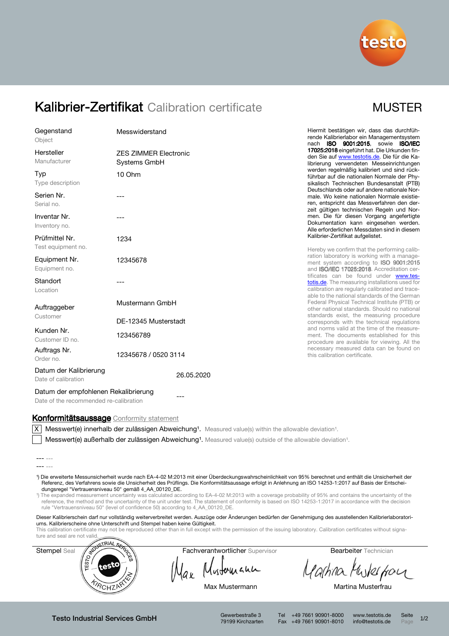

# Kalibrier-Zertifikat Calibration certificate MUSTER

| Gegenstand<br>Object                          | Messwiderstand                               |  |  |
|-----------------------------------------------|----------------------------------------------|--|--|
| Hersteller<br>Manufacturer                    | <b>ZES ZIMMER Electronic</b><br>Systems GmbH |  |  |
| Typ<br>Type description                       | 10 Ohm                                       |  |  |
| Serien Nr.<br>Serial no.                      | ---                                          |  |  |
| Inventar Nr.<br>Inventory no.                 | ---                                          |  |  |
| Prüfmittel Nr.<br>Test equipment no.          | 1234                                         |  |  |
| Equipment Nr.<br>Equipment no.                | 12345678                                     |  |  |
| Standort<br>Location                          | ---                                          |  |  |
| Auftraggeber<br>Customer                      | Mustermann GmbH                              |  |  |
|                                               | DE-12345 Musterstadt                         |  |  |
| Kunden Nr.<br>Customer ID no.                 | 123456789                                    |  |  |
| Auftrags Nr.<br>Order no.                     | 12345678 / 0520 3114                         |  |  |
| Datum der Kalibrierung<br>Date of calibration | 26.05.2020                                   |  |  |

Hiermit bestätigen wir, dass das durchführende Kalibrierlabor ein Managementsystem nach ISO 9001:2015, sowie ISO/IEC 17025:2018 eingeführt hat. Die Urkunden finden Sie auf www.testotis.de. Die für die Kalibrierung verwendeten Messeinrichtungen werden regelmäßig kalibriert und sind rückführbar auf die nationalen Normale der Physikalisch Technischen Bundesanstalt (PTB) Deutschlands oder auf andere nationale Normale. Wo keine nationalen Normale existieren, entspricht das Messverfahren den derzeit gültigen technischen Regeln und Normen. Die für diesen Vorgang angefertigte Dokumentation kann eingesehen werden. Alle erforderlichen Messdaten sind in diesem Kalibrier-Zertifikat aufgelistet.

Hereby we confirm that the performing calibration laboratory is working with a management system according to **ISO 9001:2015** and ISO/IEC 17025:2018. Accreditation certificates can be found under www.testotis.de. The measuring installations used for calibration are regularly calibrated and traceable to the national standards of the German Federal Physical Technical Institute (PTB) or other national standards. Should no national standards exist, the measuring procedure corresponds with the technical regulations and norms valid at the time of the measurement. The documents established for this procedure are available for viewing. All the necessary measured data can be found on this calibration certificate.

## Datum der empfohlenen Rekalibrierung

Date of the recommended re-calibration

### Konformitätsaussage Conformity statement

 $X$  Messwert(e) innerhalb der zulässigen Abweichung<sup>1</sup>. Measured value(s) within the allowable deviation<sup>1</sup>.

Messwert(e) außerhalb der zulässigen Abweichung<sup>1</sup>. Measured value(s) outside of the allowable deviation<sup>1</sup>.

- ¹) Die erweiterte Messunsicherheit wurde nach EA-4-02 M:2013 mit einer Überdeckungswahrscheinlichkeit von 95% berechnet und enthält die Unsicherheit der Referenz, des Verfahrens sowie die Unsicherheit des Prüflings. Die Konformitätsaussage erfolgt in Anlehnung an ISO 14253-1:2017 auf Basis der Entscheidungsregel "Vertrauensniveau 50" gemäß 4\_AA\_00120\_DE.
- <sup>1</sup>) The expanded measurement uncertainty was calculated according to EA-4-02 M:2013 with a coverage probability of 95% and contains the uncertainty of the reference, the method and the uncertainty of the unit under test. The statement of conformity is based on ISO 14253-1:2017 in accordance with the decision rule "Vertrauensniveau 50" (level of confidence 50) according to 4\_AA\_00120\_DE.

Dieser Kalibrierschein darf nur vollständig weiterverbreitet werden. Auszüge oder Änderungen bedürfen der Genehmigung des ausstellenden Kalibrierlaboratoriums. Kalibrierscheine ohne Unterschrift und Stempel haben keine Gültigkeit.

This calibration certificate may not be reproduced other than in full except with the permission of the issuing laboratory. Calibration certificates without signa-



Mustomann lax

Martina Muskerform

Max Mustermann Martina Musterfrau

Testo Industrial Services GmbH Gewerbestraße 3

79199 Kirchzarten

Tel +49 7661 90901-8000 www.testotis.de Seite 1/2 Fax +49 7661 90901-8010 info@testotis.de Page